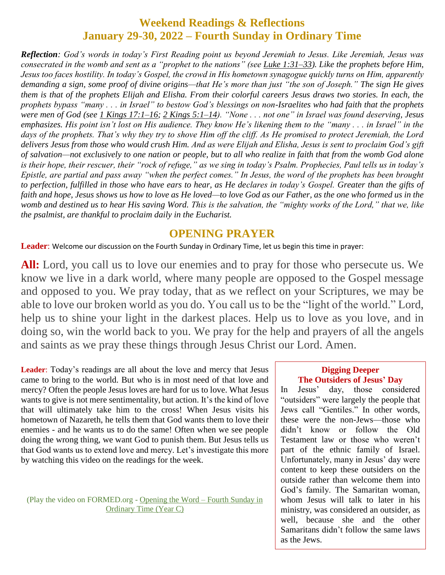# **Weekend Readings & Reflections January 29-30, 2022 – Fourth Sunday in Ordinary Time**

*Reflection: God's words in today's First Reading point us beyond Jeremiah to Jesus. Like Jeremiah, Jesus was consecrated in the womb and sent as a "prophet to the nations" (see Luke [1:31–33\)](https://biblia.com/bible/rsvce/Luke%201.31%E2%80%9333). Like the prophets before Him, Jesus too faces hostility. In today's Gospel, the crowd in His hometown synagogue quickly turns on Him, apparently demanding a sign, some proof of divine origins—that He's more than just "the son of Joseph." The sign He gives them is that of the prophets Elijah and Elisha. From their colorful careers Jesus draws two stories. In each, the prophets bypass "many . . . in Israel" to bestow God's blessings on non-Israelites who had faith that the prophets were men of God (see 1 Kings [17:1–16;](https://biblia.com/bible/rsvce/1%20Kings%2017.1%E2%80%9316) 2 Kings [5:1–14\)](https://biblia.com/bible/rsvce/2%20Kings%205.1%E2%80%9314). "None . . . not one" in Israel was found deserving, Jesus emphasizes. His point isn't lost on His audience. They know He's likening them to the "many . . . in Israel" in the days of the prophets. That's why they try to shove Him off the cliff. As He promised to protect Jeremiah, the Lord delivers Jesus from those who would crush Him. And as were Elijah and Elisha, Jesus is sent to proclaim God's gift of salvation—not exclusively to one nation or people, but to all who realize in faith that from the womb God alone is their hope, their rescuer, their "rock of refuge," as we sing in today's Psalm. Prophecies, Paul tells us in today's Epistle, are partial and pass away "when the perfect comes." In Jesus, the word of the prophets has been brought to perfection, fulfilled in those who have ears to hear, as He declares in today's Gospel. Greater than the gifts of faith and hope, Jesus shows us how to love as He loved—to love God as our Father, as the one who formed us in the womb and destined us to hear His saving Word. This is the salvation, the "mighty works of the Lord," that we, like the psalmist, are thankful to proclaim daily in the Eucharist.*

#### **OPENING PRAYER**

**Leader**: Welcome our discussion on the Fourth Sunday in Ordinary Time, let us begin this time in prayer:

**All:** Lord, you call us to love our enemies and to pray for those who persecute us. We know we live in a dark world, where many people are opposed to the Gospel message and opposed to you. We pray today, that as we reflect on your Scriptures, we may be able to love our broken world as you do. You call us to be the "light of the world." Lord, help us to shine your light in the darkest places. Help us to love as you love, and in doing so, win the world back to you. We pray for the help and prayers of all the angels and saints as we pray these things through Jesus Christ our Lord. Amen.

**Leader**: Today's readings are all about the love and mercy that Jesus came to bring to the world. But who is in most need of that love and mercy? Often the people Jesus loves are hard for us to love. What Jesus wants to give is not mere sentimentality, but action. It's the kind of love that will ultimately take him to the cross! When Jesus visits his hometown of Nazareth, he tells them that God wants them to love their enemies - and he wants us to do the same! Often when we see people doing the wrong thing, we want God to punish them. But Jesus tells us that God wants us to extend love and mercy. Let's investigate this more by watching this video on the readings for the week.

(Play the video on FORMED.org - [Opening the](https://watch.formed.org/opening-the-word-1/season:3/videos/4th-sunday-in-ordinary-time-february-3-2019) Word – Fourth Sunday in [Ordinary Time](https://watch.formed.org/opening-the-word-1/season:3/videos/4th-sunday-in-ordinary-time-february-3-2019) (Year C)

#### **Digging Deeper The Outsiders of Jesus' Day**

In Jesus' day, those considered "outsiders" were largely the people that Jews call "Gentiles." In other words, these were the non-Jews—those who didn't know or follow the Old Testament law or those who weren't part of the ethnic family of Israel. Unfortunately, many in Jesus' day were content to keep these outsiders on the outside rather than welcome them into God's family. The Samaritan woman, whom Jesus will talk to later in his ministry, was considered an outsider, as well, because she and the other Samaritans didn't follow the same laws as the Jews.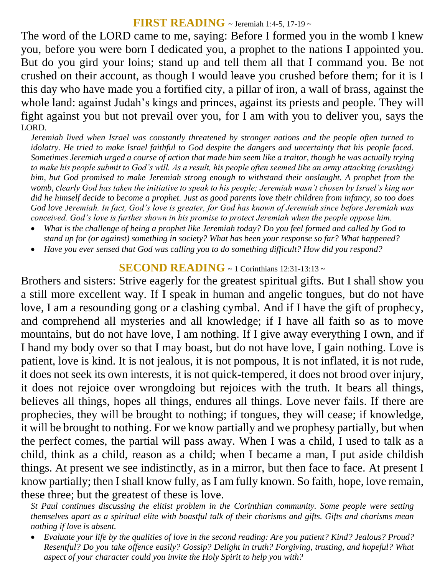## **FIRST READING** ~ Jeremiah 1:4-5, 17-19 ~

The word of the LORD came to me, saying: Before I formed you in the womb I knew you, before you were born I dedicated you, a prophet to the nations I appointed you. But do you gird your loins; stand up and tell them all that I command you. Be not crushed on their account, as though I would leave you crushed before them; for it is I this day who have made you a fortified city, a pillar of iron, a wall of brass, against the whole land: against Judah's kings and princes, against its priests and people. They will fight against you but not prevail over you, for I am with you to deliver you, says the LORD.

*Jeremiah lived when Israel was constantly threatened by stronger nations and the people often turned to*  idolatry. He tried to make Israel faithful to God despite the dangers and uncertainty that his people faced. *Sometimes Jeremiah urged a course of action that made him seem like a traitor, though he was actually trying to make his people submit to God's will. As a result, his people often seemed like an army attacking (crushing) him, but God promised to make Jeremiah strong enough to withstand their onslaught. A prophet from the*  womb, clearly God has taken the initiative to speak to his people; Jeremiah wasn't chosen by Israel's king nor *did he himself decide to become a prophet. Just as good parents love their children from infancy, so too does God love Jeremiah. In fact, God's love is greater, for God has known of Jeremiah since before Jeremiah was conceived. God's love is further shown in his promise to protect Jeremiah when the people oppose him.*

- *What is the challenge of being a prophet like Jeremiah today? Do you feel formed and called by God to stand up for (or against) something in society? What has been your response so far? What happened?*
- *Have you ever sensed that God was calling you to do something difficult? How did you respond?*

### **SECOND READING** ~ 1 Corinthians 12:31-13:13 ~

Brothers and sisters: Strive eagerly for the greatest spiritual gifts. But I shall show you a still more excellent way. If I speak in human and angelic tongues, but do not have love, I am a resounding gong or a clashing cymbal. And if I have the gift of prophecy, and comprehend all mysteries and all knowledge; if I have all faith so as to move mountains, but do not have love, I am nothing. If I give away everything I own, and if I hand my body over so that I may boast, but do not have love, I gain nothing. Love is patient, love is kind. It is not jealous, it is not pompous, It is not inflated, it is not rude, it does not seek its own interests, it is not quick-tempered, it does not brood over injury, it does not rejoice over wrongdoing but rejoices with the truth. It bears all things, believes all things, hopes all things, endures all things. Love never fails. If there are prophecies, they will be brought to nothing; if tongues, they will cease; if knowledge, it will be brought to nothing. For we know partially and we prophesy partially, but when the perfect comes, the partial will pass away. When I was a child, I used to talk as a child, think as a child, reason as a child; when I became a man, I put aside childish things. At present we see indistinctly, as in a mirror, but then face to face. At present I know partially; then I shall know fully, as I am fully known. So faith, hope, love remain, these three; but the greatest of these is love.

*St Paul continues discussing the elitist problem in the Corinthian community. Some people were setting themselves apart as a spiritual elite with boastful talk of their charisms and gifts. Gifts and charisms mean nothing if love is absent.* 

 *Evaluate your life by the qualities of love in the second reading: Are you patient? Kind? Jealous? Proud? Resentful? Do you take offence easily? Gossip? Delight in truth? Forgiving, trusting, and hopeful? What aspect of your character could you invite the Holy Spirit to help you with?*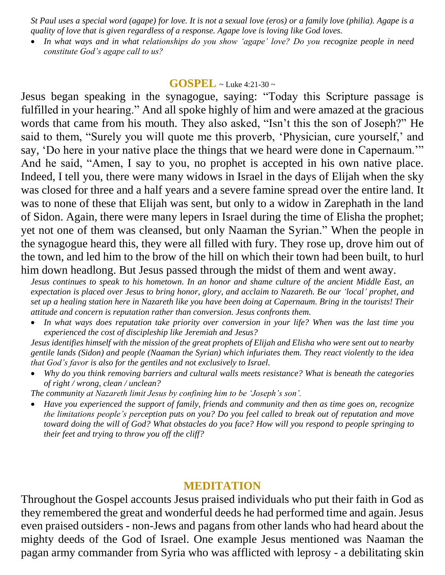*St Paul uses a special word (agape) for love. It is not a sexual love (eros) or a family love (philia). Agape is a quality of love that is given regardless of a response. Agape love is loving like God loves.* 

 *In what ways and in what relationships do you show 'agape' love? Do you recognize people in need constitute God's agape call to us?*

## $$

Jesus began speaking in the synagogue, saying: "Today this Scripture passage is fulfilled in your hearing." And all spoke highly of him and were amazed at the gracious words that came from his mouth. They also asked, "Isn't this the son of Joseph?" He said to them, "Surely you will quote me this proverb, 'Physician, cure yourself,' and say, 'Do here in your native place the things that we heard were done in Capernaum.'" And he said, "Amen, I say to you, no prophet is accepted in his own native place. Indeed, I tell you, there were many widows in Israel in the days of Elijah when the sky was closed for three and a half years and a severe famine spread over the entire land. It was to none of these that Elijah was sent, but only to a widow in Zarephath in the land of Sidon. Again, there were many lepers in Israel during the time of Elisha the prophet; yet not one of them was cleansed, but only Naaman the Syrian." When the people in the synagogue heard this, they were all filled with fury. They rose up, drove him out of the town, and led him to the brow of the hill on which their town had been built, to hurl him down headlong. But Jesus passed through the midst of them and went away.

*Jesus continues to speak to his hometown. In an honor and shame culture of the ancient Middle East, an expectation is placed over Jesus to bring honor, glory, and acclaim to Nazareth. Be our 'local' prophet, and set up a healing station here in Nazareth like you have been doing at Capernaum. Bring in the tourists! Their attitude and concern is reputation rather than conversion. Jesus confronts them.* 

 *In what ways does reputation take priority over conversion in your life? When was the last time you experienced the cost of discipleship like Jeremiah and Jesus?*

*Jesus identifies himself with the mission of the great prophets of Elijah and Elisha who were sent out to nearby gentile lands (Sidon) and people (Naaman the Syrian) which infuriates them. They react violently to the idea that God's favor is also for the gentiles and not exclusively to Israel.* 

 *Why do you think removing barriers and cultural walls meets resistance? What is beneath the categories of right / wrong, clean / unclean?*

*The community at Nazareth limit Jesus by confining him to be 'Joseph's son'.* 

 *Have you experienced the support of family, friends and community and then as time goes on, recognize the limitations people's perception puts on you? Do you feel called to break out of reputation and move toward doing the will of God? What obstacles do you face? How will you respond to people springing to their feet and trying to throw you off the cliff?*

#### **MEDITATION**

Throughout the Gospel accounts Jesus praised individuals who put their faith in God as they remembered the great and wonderful deeds he had performed time and again. Jesus even praised outsiders - non-Jews and pagans from other lands who had heard about the mighty deeds of the God of Israel. One example Jesus mentioned was Naaman the pagan army commander from Syria who was afflicted with leprosy - a debilitating skin